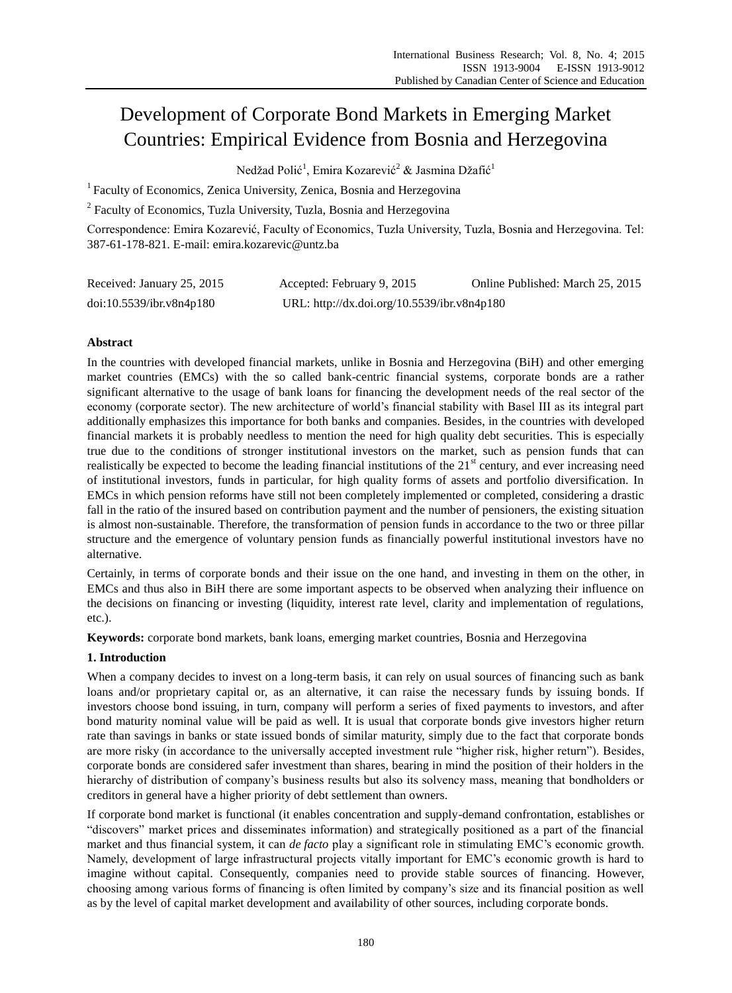# Development of Corporate Bond Markets in Emerging Market Countries: Empirical Evidence from Bosnia and Herzegovina

Nedžad Polić<sup>1</sup>, Emira Kozarević<sup>2</sup> & Jasmina Džafić<sup>1</sup>

<sup>1</sup> Faculty of Economics, Zenica University, Zenica, Bosnia and Herzegovina

<sup>2</sup> Faculty of Economics, Tuzla University, Tuzla, Bosnia and Herzegovina

Correspondence: Emira Kozarević, Faculty of Economics, Tuzla University, Tuzla, Bosnia and Herzegovina. Tel: 387-61-178-821. E-mail: emira.kozarevic@untz.ba

| Received: January 25, 2015 | Accepted: February 9, 2015                  | Online Published: March 25, 2015 |
|----------------------------|---------------------------------------------|----------------------------------|
| doi:10.5539/ibr.v8n4p180   | URL: http://dx.doi.org/10.5539/ibr.v8n4p180 |                                  |

# **Abstract**

In the countries with developed financial markets, unlike in Bosnia and Herzegovina (BiH) and other emerging market countries (EMCs) with the so called bank-centric financial systems, corporate bonds are a rather significant alternative to the usage of bank loans for financing the development needs of the real sector of the economy (corporate sector). The new architecture of world's financial stability with Basel III as its integral part additionally emphasizes this importance for both banks and companies. Besides, in the countries with developed financial markets it is probably needless to mention the need for high quality debt securities. This is especially true due to the conditions of stronger institutional investors on the market, such as pension funds that can realistically be expected to become the leading financial institutions of the  $21<sup>st</sup>$  century, and ever increasing need of institutional investors, funds in particular, for high quality forms of assets and portfolio diversification. In EMCs in which pension reforms have still not been completely implemented or completed, considering a drastic fall in the ratio of the insured based on contribution payment and the number of pensioners, the existing situation is almost non-sustainable. Therefore, the transformation of pension funds in accordance to the two or three pillar structure and the emergence of voluntary pension funds as financially powerful institutional investors have no alternative.

Certainly, in terms of corporate bonds and their issue on the one hand, and investing in them on the other, in EMCs and thus also in BiH there are some important aspects to be observed when analyzing their influence on the decisions on financing or investing (liquidity, interest rate level, clarity and implementation of regulations, etc.).

**Keywords:** corporate bond markets, bank loans, emerging market countries, Bosnia and Herzegovina

# **1. Introduction**

When a company decides to invest on a long-term basis, it can rely on usual sources of financing such as bank loans and/or proprietary capital or, as an alternative, it can raise the necessary funds by issuing bonds. If investors choose bond issuing, in turn, company will perform a series of fixed payments to investors, and after bond maturity nominal value will be paid as well. It is usual that corporate bonds give investors higher return rate than savings in banks or state issued bonds of similar maturity, simply due to the fact that corporate bonds are more risky (in accordance to the universally accepted investment rule "higher risk, higher return"). Besides, corporate bonds are considered safer investment than shares, bearing in mind the position of their holders in the hierarchy of distribution of company's business results but also its solvency mass, meaning that bondholders or creditors in general have a higher priority of debt settlement than owners.

If corporate bond market is functional (it enables concentration and supply-demand confrontation, establishes or "discovers" market prices and disseminates information) and strategically positioned as a part of the financial market and thus financial system, it can *de facto* play a significant role in stimulating EMC's economic growth. Namely, development of large infrastructural projects vitally important for EMC's economic growth is hard to imagine without capital. Consequently, companies need to provide stable sources of financing. However, choosing among various forms of financing is often limited by company's size and its financial position as well as by the level of capital market development and availability of other sources, including corporate bonds.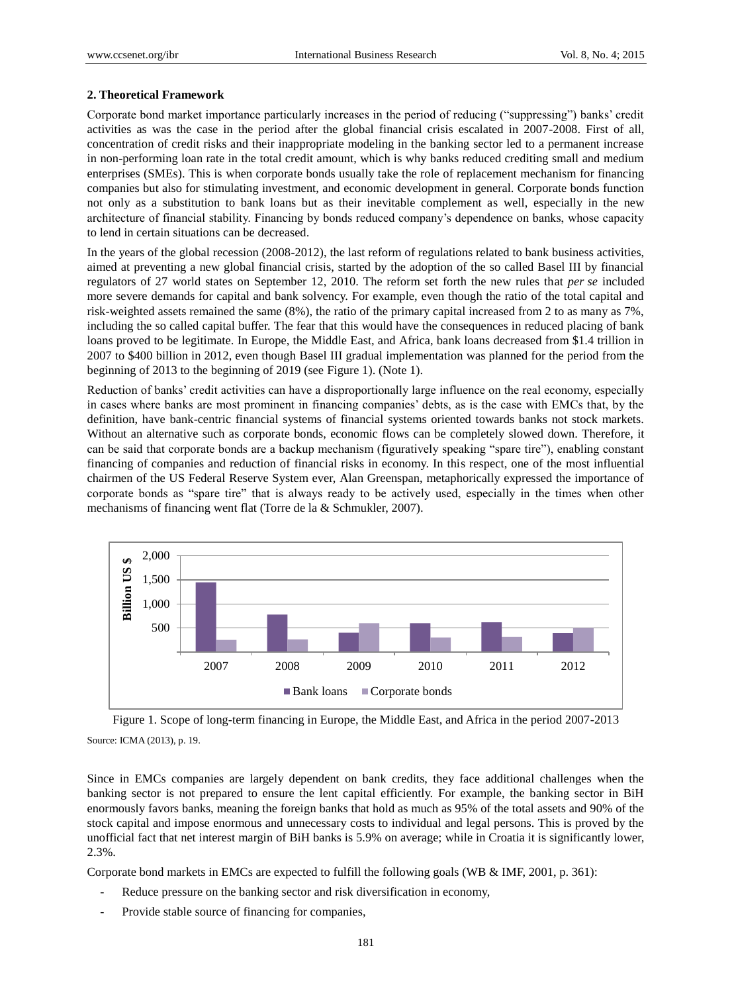## **2. Theoretical Framework**

Corporate bond market importance particularly increases in the period of reducing ("suppressing") banks' credit activities as was the case in the period after the global financial crisis escalated in 2007-2008. First of all, concentration of credit risks and their inappropriate modeling in the banking sector led to a permanent increase in non-performing loan rate in the total credit amount, which is why banks reduced crediting small and medium enterprises (SMEs). This is when corporate bonds usually take the role of replacement mechanism for financing companies but also for stimulating investment, and economic development in general. Corporate bonds function not only as a substitution to bank loans but as their inevitable complement as well, especially in the new architecture of financial stability. Financing by bonds reduced company's dependence on banks, whose capacity to lend in certain situations can be decreased.

In the years of the global recession (2008-2012), the last reform of regulations related to bank business activities, aimed at preventing a new global financial crisis, started by the adoption of the so called Basel III by financial regulators of 27 world states on September 12, 2010. The reform set forth the new rules that *per se* included more severe demands for capital and bank solvency. For example, even though the ratio of the total capital and risk-weighted assets remained the same (8%), the ratio of the primary capital increased from 2 to as many as 7%, including the so called capital buffer. The fear that this would have the consequences in reduced placing of bank loans proved to be legitimate. In Europe, the Middle East, and Africa, bank loans decreased from \$1.4 trillion in 2007 to \$400 billion in 2012, even though Basel III gradual implementation was planned for the period from the beginning of 2013 to the beginning of 2019 (see Figure 1). (Note 1).

Reduction of banks' credit activities can have a disproportionally large influence on the real economy, especially in cases where banks are most prominent in financing companies' debts, as is the case with EMCs that, by the definition, have bank-centric financial systems of financial systems oriented towards banks not stock markets. Without an alternative such as corporate bonds, economic flows can be completely slowed down. Therefore, it can be said that corporate bonds are a backup mechanism (figuratively speaking "spare tire"), enabling constant financing of companies and reduction of financial risks in economy. In this respect, one of the most influential chairmen of the US Federal Reserve System ever, Alan Greenspan, metaphorically expressed the importance of corporate bonds as "spare tire" that is always ready to be actively used, especially in the times when other mechanisms of financing went flat (Torre de la & Schmukler, 2007).



Figure 1. Scope of long-term financing in Europe, the Middle East, and Africa in the period 2007-2013 Source: ICMA (2013), p. 19.

Since in EMCs companies are largely dependent on bank credits, they face additional challenges when the banking sector is not prepared to ensure the lent capital efficiently. For example, the banking sector in BiH enormously favors banks, meaning the foreign banks that hold as much as 95% of the total assets and 90% of the stock capital and impose enormous and unnecessary costs to individual and legal persons. This is proved by the unofficial fact that net interest margin of BiH banks is 5.9% on average; while in Croatia it is significantly lower, 2.3%.

Corporate bond markets in EMCs are expected to fulfill the following goals (WB & IMF, 2001, p. 361):

- Reduce pressure on the banking sector and risk diversification in economy,
- Provide stable source of financing for companies,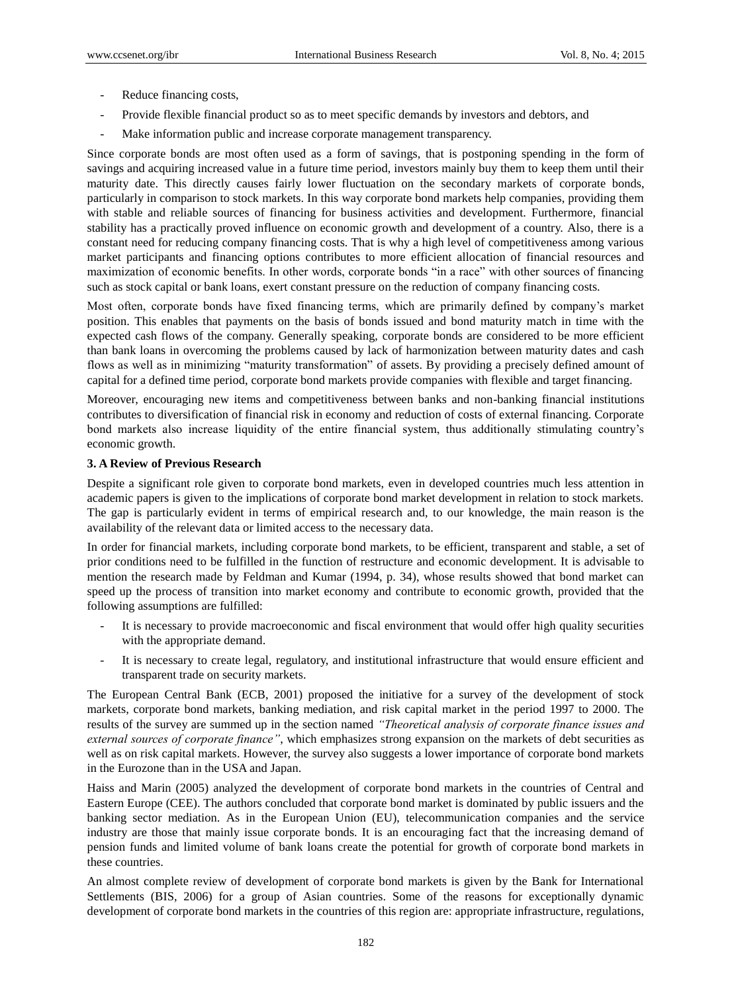- Reduce financing costs,
- Provide flexible financial product so as to meet specific demands by investors and debtors, and
- Make information public and increase corporate management transparency.

Since corporate bonds are most often used as a form of savings, that is postponing spending in the form of savings and acquiring increased value in a future time period, investors mainly buy them to keep them until their maturity date. This directly causes fairly lower fluctuation on the secondary markets of corporate bonds, particularly in comparison to stock markets. In this way corporate bond markets help companies, providing them with stable and reliable sources of financing for business activities and development. Furthermore, financial stability has a practically proved influence on economic growth and development of a country. Also, there is a constant need for reducing company financing costs. That is why a high level of competitiveness among various market participants and financing options contributes to more efficient allocation of financial resources and maximization of economic benefits. In other words, corporate bonds "in a race" with other sources of financing such as stock capital or bank loans, exert constant pressure on the reduction of company financing costs.

Most often, corporate bonds have fixed financing terms, which are primarily defined by company's market position. This enables that payments on the basis of bonds issued and bond maturity match in time with the expected cash flows of the company. Generally speaking, corporate bonds are considered to be more efficient than bank loans in overcoming the problems caused by lack of harmonization between maturity dates and cash flows as well as in minimizing "maturity transformation" of assets. By providing a precisely defined amount of capital for a defined time period, corporate bond markets provide companies with flexible and target financing.

Moreover, encouraging new items and competitiveness between banks and non-banking financial institutions contributes to diversification of financial risk in economy and reduction of costs of external financing. Corporate bond markets also increase liquidity of the entire financial system, thus additionally stimulating country's economic growth.

## **3. A Review of Previous Research**

Despite a significant role given to corporate bond markets, even in developed countries much less attention in academic papers is given to the implications of corporate bond market development in relation to stock markets. The gap is particularly evident in terms of empirical research and, to our knowledge, the main reason is the availability of the relevant data or limited access to the necessary data.

In order for financial markets, including corporate bond markets, to be efficient, transparent and stable, a set of prior conditions need to be fulfilled in the function of restructure and economic development. It is advisable to mention the research made by Feldman and Kumar (1994, p. 34), whose results showed that bond market can speed up the process of transition into market economy and contribute to economic growth, provided that the following assumptions are fulfilled:

- It is necessary to provide macroeconomic and fiscal environment that would offer high quality securities with the appropriate demand.
- It is necessary to create legal, regulatory, and institutional infrastructure that would ensure efficient and transparent trade on security markets.

The European Central Bank (ECB, 2001) proposed the initiative for a survey of the development of stock markets, corporate bond markets, banking mediation, and risk capital market in the period 1997 to 2000. The results of the survey are summed up in the section named *"Theoretical analysis of corporate finance issues and external sources of corporate finance"*, which emphasizes strong expansion on the markets of debt securities as well as on risk capital markets. However, the survey also suggests a lower importance of corporate bond markets in the Eurozone than in the USA and Japan.

Haiss and Marin (2005) analyzed the development of corporate bond markets in the countries of Central and Eastern Europe (CEE). The authors concluded that corporate bond market is dominated by public issuers and the banking sector mediation. As in the European Union (EU), telecommunication companies and the service industry are those that mainly issue corporate bonds. It is an encouraging fact that the increasing demand of pension funds and limited volume of bank loans create the potential for growth of corporate bond markets in these countries.

An almost complete review of development of corporate bond markets is given by the Bank for International Settlements (BIS, 2006) for a group of Asian countries. Some of the reasons for exceptionally dynamic development of corporate bond markets in the countries of this region are: appropriate infrastructure, regulations,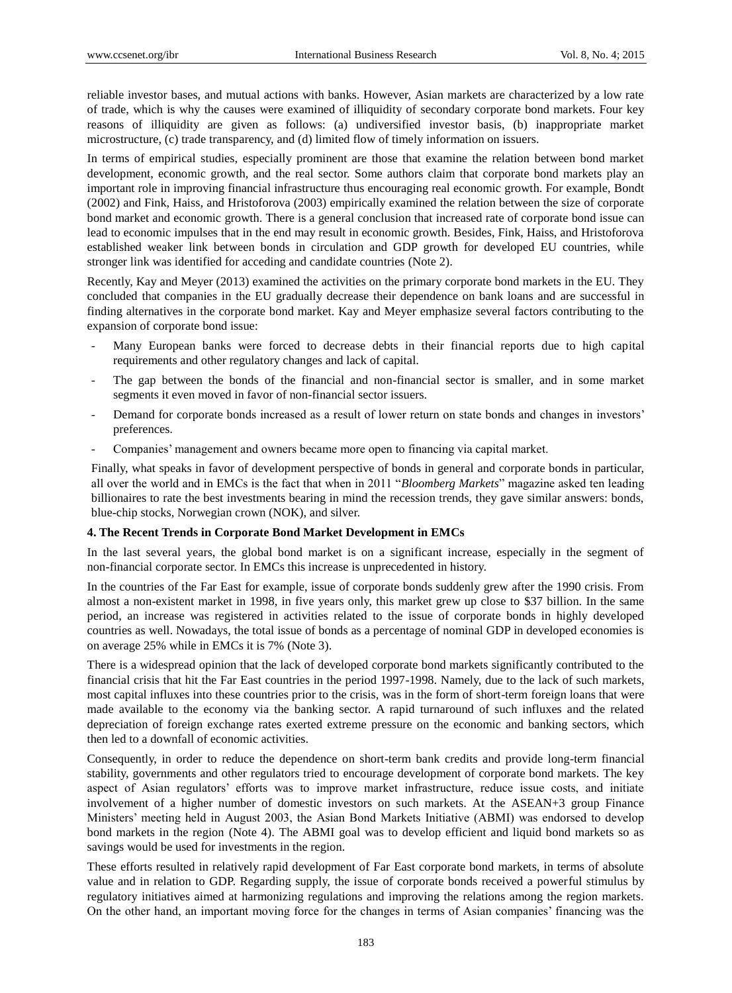reliable investor bases, and mutual actions with banks. However, Asian markets are characterized by a low rate of trade, which is why the causes were examined of illiquidity of secondary corporate bond markets. Four key reasons of illiquidity are given as follows: (a) undiversified investor basis, (b) inappropriate market microstructure, (c) trade transparency, and (d) limited flow of timely information on issuers.

In terms of empirical studies, especially prominent are those that examine the relation between bond market development, economic growth, and the real sector. Some authors claim that corporate bond markets play an important role in improving financial infrastructure thus encouraging real economic growth. For example, Bondt (2002) and Fink, Haiss, and Hristoforova (2003) empirically examined the relation between the size of corporate bond market and economic growth. There is a general conclusion that increased rate of corporate bond issue can lead to economic impulses that in the end may result in economic growth. Besides, Fink, Haiss, and Hristoforova established weaker link between bonds in circulation and GDP growth for developed EU countries, while stronger link was identified for acceding and candidate countries (Note 2).

Recently, Kay and Meyer (2013) examined the activities on the primary corporate bond markets in the EU. They concluded that companies in the EU gradually decrease their dependence on bank loans and are successful in finding alternatives in the corporate bond market. Kay and Meyer emphasize several factors contributing to the expansion of corporate bond issue:

- Many European banks were forced to decrease debts in their financial reports due to high capital requirements and other regulatory changes and lack of capital.
- The gap between the bonds of the financial and non-financial sector is smaller, and in some market segments it even moved in favor of non-financial sector issuers.
- Demand for corporate bonds increased as a result of lower return on state bonds and changes in investors' preferences.
- Companies' management and owners became more open to financing via capital market.

Finally, what speaks in favor of development perspective of bonds in general and corporate bonds in particular, all over the world and in EMCs is the fact that when in 2011 "*Bloomberg Markets*" magazine asked ten leading billionaires to rate the best investments bearing in mind the recession trends, they gave similar answers: bonds, blue-chip stocks, Norwegian crown (NOK), and silver.

## **4. The Recent Trends in Corporate Bond Market Development in EMCs**

In the last several years, the global bond market is on a significant increase, especially in the segment of non-financial corporate sector. In EMCs this increase is unprecedented in history.

In the countries of the Far East for example, issue of corporate bonds suddenly grew after the 1990 crisis. From almost a non-existent market in 1998, in five years only, this market grew up close to \$37 billion. In the same period, an increase was registered in activities related to the issue of corporate bonds in highly developed countries as well. Nowadays, the total issue of bonds as a percentage of nominal GDP in developed economies is on average 25% while in EMCs it is 7% (Note 3).

There is a widespread opinion that the lack of developed corporate bond markets significantly contributed to the financial crisis that hit the Far East countries in the period 1997-1998. Namely, due to the lack of such markets, most capital influxes into these countries prior to the crisis, was in the form of short-term foreign loans that were made available to the economy via the banking sector. A rapid turnaround of such influxes and the related depreciation of foreign exchange rates exerted extreme pressure on the economic and banking sectors, which then led to a downfall of economic activities.

Consequently, in order to reduce the dependence on short-term bank credits and provide long-term financial stability, governments and other regulators tried to encourage development of corporate bond markets. The key aspect of Asian regulators' efforts was to improve market infrastructure, reduce issue costs, and initiate involvement of a higher number of domestic investors on such markets. At the ASEAN+3 group Finance Ministers' meeting held in August 2003, the Asian Bond Markets Initiative (ABMI) was endorsed to develop bond markets in the region (Note 4). The ABMI goal was to develop efficient and liquid bond markets so as savings would be used for investments in the region.

These efforts resulted in relatively rapid development of Far East corporate bond markets, in terms of absolute value and in relation to GDP. Regarding supply, the issue of corporate bonds received a powerful stimulus by regulatory initiatives aimed at harmonizing regulations and improving the relations among the region markets. On the other hand, an important moving force for the changes in terms of Asian companies' financing was the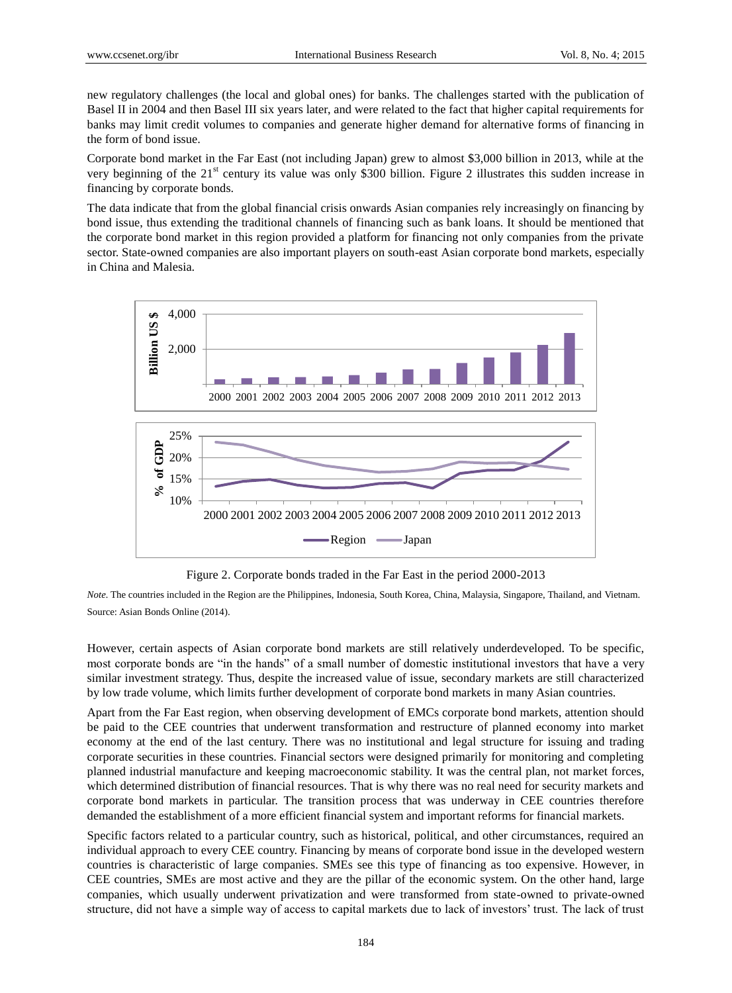new regulatory challenges (the local and global ones) for banks. The challenges started with the publication of Basel II in 2004 and then Basel III six years later, and were related to the fact that higher capital requirements for banks may limit credit volumes to companies and generate higher demand for alternative forms of financing in the form of bond issue.

Corporate bond market in the Far East (not including Japan) grew to almost \$3,000 billion in 2013, while at the very beginning of the  $21<sup>st</sup>$  century its value was only \$300 billion. Figure 2 illustrates this sudden increase in financing by corporate bonds.

The data indicate that from the global financial crisis onwards Asian companies rely increasingly on financing by bond issue, thus extending the traditional channels of financing such as bank loans. It should be mentioned that the corporate bond market in this region provided a platform for financing not only companies from the private sector. State-owned companies are also important players on south-east Asian corporate bond markets, especially in China and Malesia.



Figure 2. Corporate bonds traded in the Far East in the period 2000-2013

*Note.* The countries included in the Region are the Philippines, Indonesia, South Korea, China, Malaysia, Singapore, Thailand, and Vietnam. Source: Asian Bonds Online (2014).

However, certain aspects of Asian corporate bond markets are still relatively underdeveloped. To be specific, most corporate bonds are "in the hands" of a small number of domestic institutional investors that have a very similar investment strategy. Thus, despite the increased value of issue, secondary markets are still characterized by low trade volume, which limits further development of corporate bond markets in many Asian countries.

Apart from the Far East region, when observing development of EMCs corporate bond markets, attention should be paid to the CEE countries that underwent transformation and restructure of planned economy into market economy at the end of the last century. There was no institutional and legal structure for issuing and trading corporate securities in these countries. Financial sectors were designed primarily for monitoring and completing planned industrial manufacture and keeping macroeconomic stability. It was the central plan, not market forces, which determined distribution of financial resources. That is why there was no real need for security markets and corporate bond markets in particular. The transition process that was underway in CEE countries therefore demanded the establishment of a more efficient financial system and important reforms for financial markets.

Specific factors related to a particular country, such as historical, political, and other circumstances, required an individual approach to every CEE country. Financing by means of corporate bond issue in the developed western countries is characteristic of large companies. SMEs see this type of financing as too expensive. However, in CEE countries, SMEs are most active and they are the pillar of the economic system. On the other hand, large companies, which usually underwent privatization and were transformed from state-owned to private-owned structure, did not have a simple way of access to capital markets due to lack of investors' trust. The lack of trust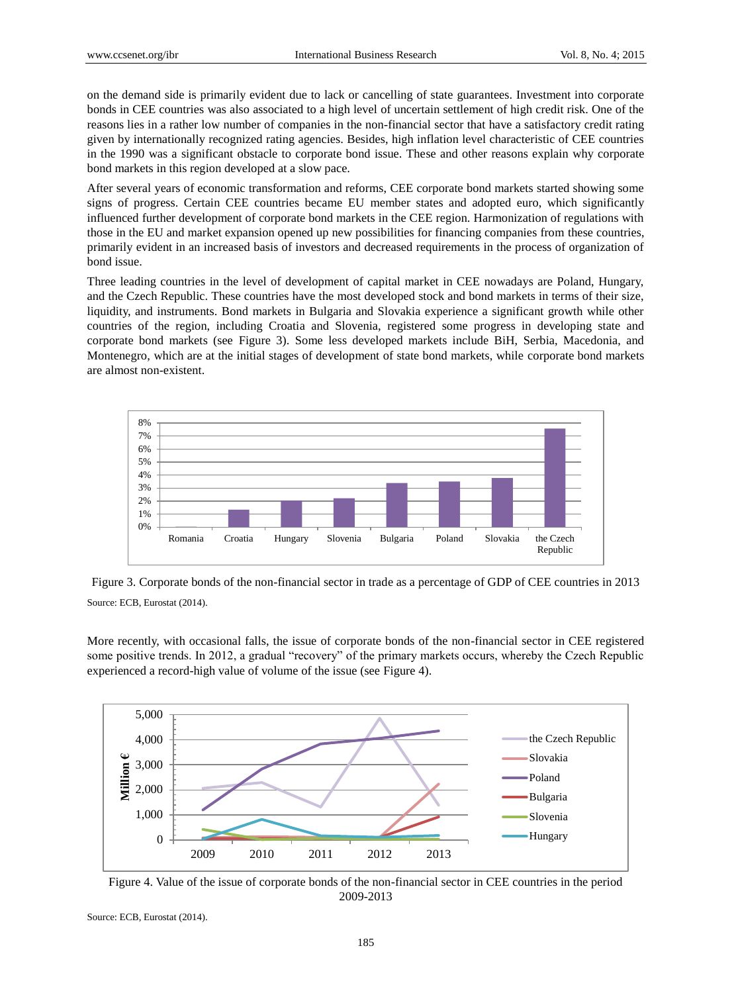on the demand side is primarily evident due to lack or cancelling of state guarantees. Investment into corporate bonds in CEE countries was also associated to a high level of uncertain settlement of high credit risk. One of the reasons lies in a rather low number of companies in the non-financial sector that have a satisfactory credit rating given by internationally recognized rating agencies. Besides, high inflation level characteristic of CEE countries in the 1990 was a significant obstacle to corporate bond issue. These and other reasons explain why corporate bond markets in this region developed at a slow pace.

After several years of economic transformation and reforms, CEE corporate bond markets started showing some signs of progress. Certain CEE countries became EU member states and adopted euro, which significantly influenced further development of corporate bond markets in the CEE region. Harmonization of regulations with those in the EU and market expansion opened up new possibilities for financing companies from these countries, primarily evident in an increased basis of investors and decreased requirements in the process of organization of bond issue.

Three leading countries in the level of development of capital market in CEE nowadays are Poland, Hungary, and the Czech Republic. These countries have the most developed stock and bond markets in terms of their size, liquidity, and instruments. Bond markets in Bulgaria and Slovakia experience a significant growth while other countries of the region, including Croatia and Slovenia, registered some progress in developing state and corporate bond markets (see Figure 3). Some less developed markets include BiH, Serbia, Macedonia, and Montenegro, which are at the initial stages of development of state bond markets, while corporate bond markets are almost non-existent.



Figure 3. Corporate bonds of the non-financial sector in trade as a percentage of GDP of CEE countries in 2013 Source: ECB, Eurostat (2014).

More recently, with occasional falls, the issue of corporate bonds of the non-financial sector in CEE registered some positive trends. In 2012, a gradual "recovery" of the primary markets occurs, whereby the Czech Republic experienced a record-high value of volume of the issue (see Figure 4).



Figure 4. Value of the issue of corporate bonds of the non-financial sector in CEE countries in the period 2009-2013

Source: ECB, Eurostat (2014).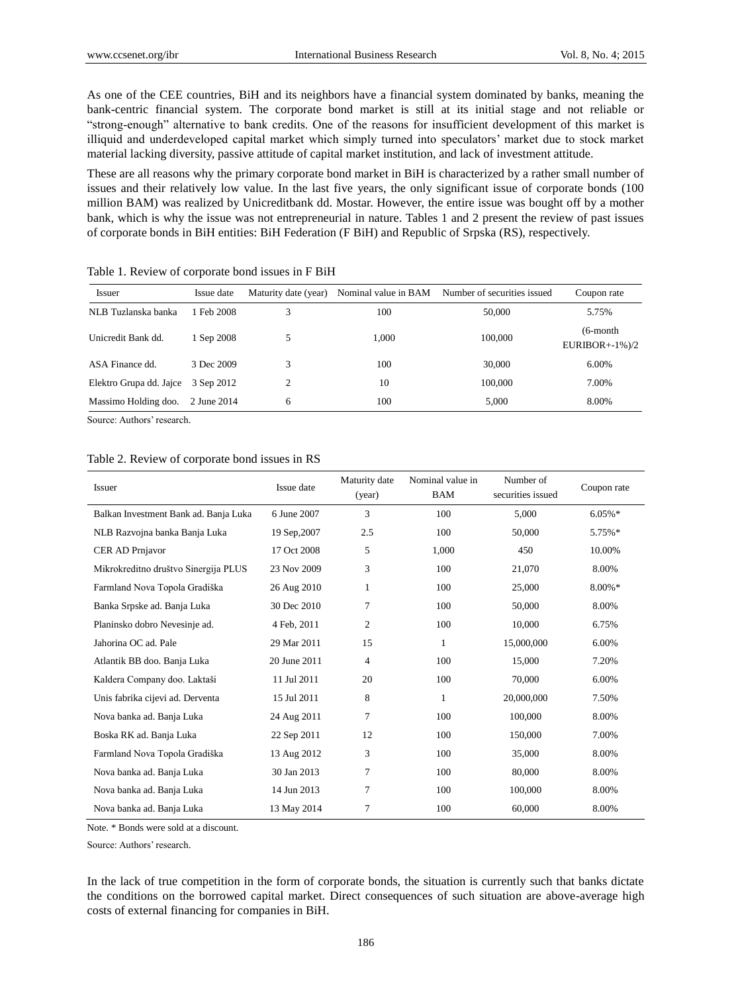As one of the CEE countries, BiH and its neighbors have a financial system dominated by banks, meaning the bank-centric financial system. The corporate bond market is still at its initial stage and not reliable or "strong-enough" alternative to bank credits. One of the reasons for insufficient development of this market is illiquid and underdeveloped capital market which simply turned into speculators' market due to stock market material lacking diversity, passive attitude of capital market institution, and lack of investment attitude.

These are all reasons why the primary corporate bond market in BiH is characterized by a rather small number of issues and their relatively low value. In the last five years, the only significant issue of corporate bonds (100 million BAM) was realized by Unicreditbank dd. Mostar. However, the entire issue was bought off by a mother bank, which is why the issue was not entrepreneurial in nature. Tables 1 and 2 present the review of past issues of corporate bonds in BiH entities: BiH Federation (F BiH) and Republic of Srpska (RS), respectively.

| <b>Issuer</b>           | Issue date  | Maturity date (year) | Nominal value in BAM | Number of securities issued | Coupon rate                         |
|-------------------------|-------------|----------------------|----------------------|-----------------------------|-------------------------------------|
| NLB Tuzlanska banka     | 1 Feb 2008  | 3                    | 100                  | 50,000                      | 5.75%                               |
| Unicredit Bank dd.      | 1 Sep 2008  | 5                    | 1.000                | 100,000                     | $(6$ -month<br>$EURIBOR + -1\%$ )/2 |
| ASA Finance dd.         | 3 Dec 2009  | 3                    | 100                  | 30,000                      | 6.00%                               |
| Elektro Grupa dd. Jajce | 3 Sep 2012  | ◠                    | 10                   | 100,000                     | 7.00%                               |
| Massimo Holding doo.    | 2 June 2014 | 6                    | 100                  | 5.000                       | 8.00%                               |

## Table 1. Review of corporate bond issues in F BiH

Source: Authors' research.

| <b>Issuer</b>                         | Issue date   | Maturity date<br>(year) | Nominal value in<br><b>BAM</b> | Number of<br>securities issued | Coupon rate |
|---------------------------------------|--------------|-------------------------|--------------------------------|--------------------------------|-------------|
| Balkan Investment Bank ad. Banja Luka | 6 June 2007  | 3                       | 100                            | 5,000                          | $6.05\%$ *  |
| NLB Razvojna banka Banja Luka         | 19 Sep, 2007 | 2.5                     | 100                            | 50,000                         | 5.75%*      |
| CER AD Prnjavor                       | 17 Oct 2008  | 5                       | 1,000                          | 450                            | 10.00%      |
| Mikrokreditno društvo Sinergija PLUS  | 23 Nov 2009  | 3                       | 100                            | 21,070                         | 8.00%       |
| Farmland Nova Topola Gradiška         | 26 Aug 2010  | 1                       | 100                            | 25,000                         | 8.00%*      |
| Banka Srpske ad. Banja Luka           | 30 Dec 2010  | 7                       | 100                            | 50,000                         | 8.00%       |
| Planinsko dobro Nevesinje ad.         | 4 Feb, 2011  | $\overline{2}$          | 100                            | 10,000                         | 6.75%       |
| Jahorina OC ad. Pale                  | 29 Mar 2011  | 15                      | 1                              | 15,000,000                     | 6.00%       |
| Atlantik BB doo. Banja Luka           | 20 June 2011 | $\overline{4}$          | 100                            | 15,000                         | 7.20%       |
| Kaldera Company doo. Laktaši          | 11 Jul 2011  | 20                      | 100                            | 70,000                         | 6.00%       |
| Unis fabrika cijevi ad. Derventa      | 15 Jul 2011  | 8                       | 1                              | 20,000,000                     | 7.50%       |
| Nova banka ad. Banja Luka             | 24 Aug 2011  | 7                       | 100                            | 100,000                        | 8.00%       |
| Boska RK ad. Banja Luka               | 22 Sep 2011  | 12                      | 100                            | 150,000                        | 7.00%       |
| Farmland Nova Topola Gradiška         | 13 Aug 2012  | 3                       | 100                            | 35,000                         | 8.00%       |
| Nova banka ad. Banja Luka             | 30 Jan 2013  | 7                       | 100                            | 80,000                         | 8.00%       |
| Nova banka ad. Banja Luka             | 14 Jun 2013  | 7                       | 100                            | 100,000                        | 8.00%       |
| Nova banka ad. Banja Luka             | 13 May 2014  | 7                       | 100                            | 60,000                         | 8.00%       |

#### Table 2. Review of corporate bond issues in RS

Note. \* Bonds were sold at a discount.

Source: Authors' research.

In the lack of true competition in the form of corporate bonds, the situation is currently such that banks dictate the conditions on the borrowed capital market. Direct consequences of such situation are above-average high costs of external financing for companies in BiH.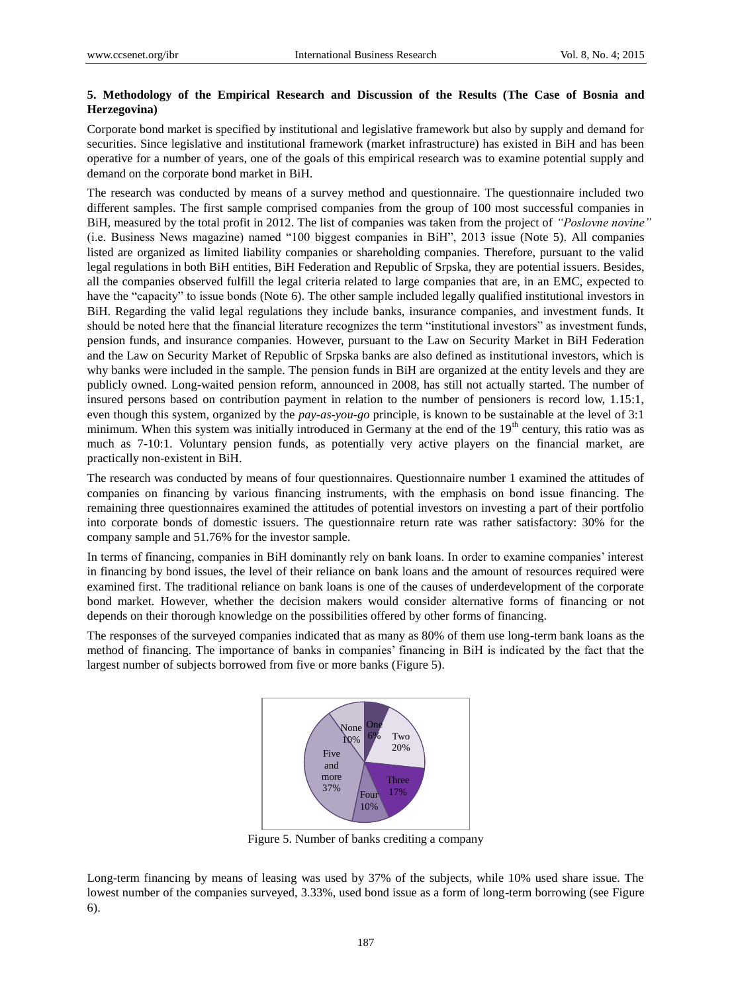## **5. Methodology of the Empirical Research and Discussion of the Results (The Case of Bosnia and Herzegovina)**

Corporate bond market is specified by institutional and legislative framework but also by supply and demand for securities. Since legislative and institutional framework (market infrastructure) has existed in BiH and has been operative for a number of years, one of the goals of this empirical research was to examine potential supply and demand on the corporate bond market in BiH.

The research was conducted by means of a survey method and questionnaire. The questionnaire included two different samples. The first sample comprised companies from the group of 100 most successful companies in BiH, measured by the total profit in 2012. The list of companies was taken from the project of *"Poslovne novine"* (i.e. Business News magazine) named "100 biggest companies in BiH", 2013 issue (Note 5). All companies listed are organized as limited liability companies or shareholding companies. Therefore, pursuant to the valid legal regulations in both BiH entities, BiH Federation and Republic of Srpska, they are potential issuers. Besides, all the companies observed fulfill the legal criteria related to large companies that are, in an EMC, expected to have the "capacity" to issue bonds (Note 6). The other sample included legally qualified institutional investors in BiH. Regarding the valid legal regulations they include banks, insurance companies, and investment funds. It should be noted here that the financial literature recognizes the term "institutional investors" as investment funds, pension funds, and insurance companies. However, pursuant to the Law on Security Market in BiH Federation and the Law on Security Market of Republic of Srpska banks are also defined as institutional investors, which is why banks were included in the sample. The pension funds in BiH are organized at the entity levels and they are publicly owned. Long-waited pension reform, announced in 2008, has still not actually started. The number of insured persons based on contribution payment in relation to the number of pensioners is record low, 1.15:1, even though this system, organized by the *pay-as-you-go* principle, is known to be sustainable at the level of 3:1 minimum. When this system was initially introduced in Germany at the end of the  $19<sup>th</sup>$  century, this ratio was as much as 7-10:1. Voluntary pension funds, as potentially very active players on the financial market, are practically non-existent in BiH.

The research was conducted by means of four questionnaires. Questionnaire number 1 examined the attitudes of companies on financing by various financing instruments, with the emphasis on bond issue financing. The remaining three questionnaires examined the attitudes of potential investors on investing a part of their portfolio into corporate bonds of domestic issuers. The questionnaire return rate was rather satisfactory: 30% for the company sample and 51.76% for the investor sample.

In terms of financing, companies in BiH dominantly rely on bank loans. In order to examine companies' interest in financing by bond issues, the level of their reliance on bank loans and the amount of resources required were examined first. The traditional reliance on bank loans is one of the causes of underdevelopment of the corporate bond market. However, whether the decision makers would consider alternative forms of financing or not depends on their thorough knowledge on the possibilities offered by other forms of financing.

The responses of the surveyed companies indicated that as many as 80% of them use long-term bank loans as the method of financing. The importance of banks in companies' financing in BiH is indicated by the fact that the largest number of subjects borrowed from five or more banks (Figure 5).



Figure 5. Number of banks crediting a company

Long-term financing by means of leasing was used by 37% of the subjects, while 10% used share issue. The lowest number of the companies surveyed, 3.33%, used bond issue as a form of long-term borrowing (see Figure 6).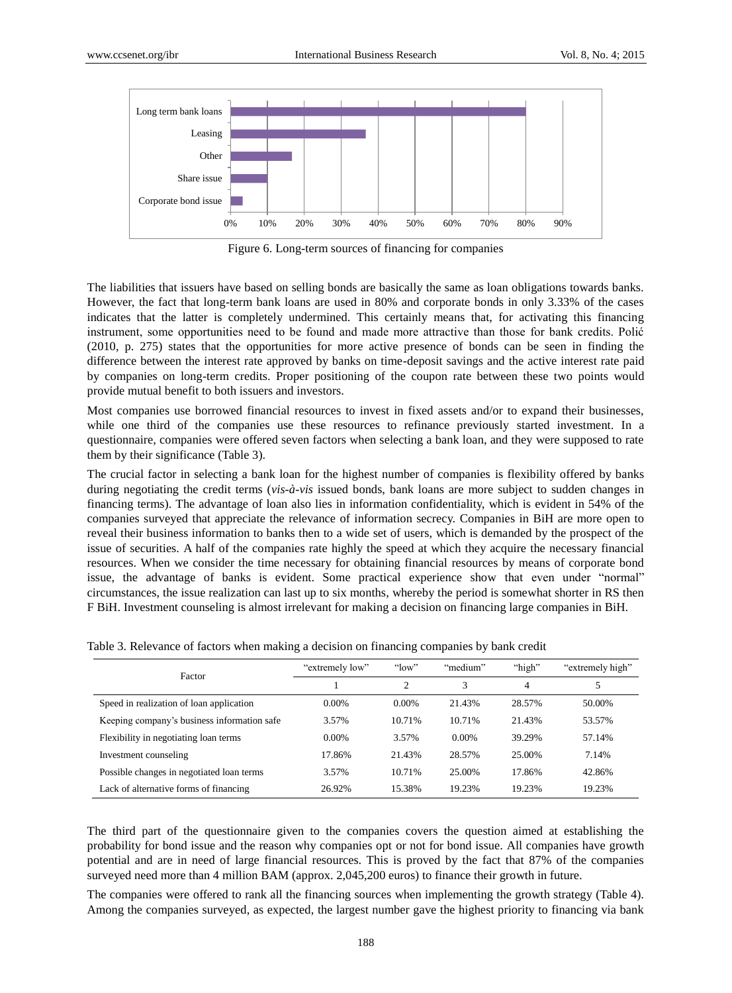

Figure 6. Long-term sources of financing for companies

The liabilities that issuers have based on selling bonds are basically the same as loan obligations towards banks. However, the fact that long-term bank loans are used in 80% and corporate bonds in only 3.33% of the cases indicates that the latter is completely undermined. This certainly means that, for activating this financing instrument, some opportunities need to be found and made more attractive than those for bank credits. Polić (2010, p. 275) states that the opportunities for more active presence of bonds can be seen in finding the difference between the interest rate approved by banks on time-deposit savings and the active interest rate paid by companies on long-term credits. Proper positioning of the coupon rate between these two points would provide mutual benefit to both issuers and investors.

Most companies use borrowed financial resources to invest in fixed assets and/or to expand their businesses, while one third of the companies use these resources to refinance previously started investment. In a questionnaire, companies were offered seven factors when selecting a bank loan, and they were supposed to rate them by their significance (Table 3).

The crucial factor in selecting a bank loan for the highest number of companies is flexibility offered by banks during negotiating the credit terms (*vis-à-vis* issued bonds, bank loans are more subject to sudden changes in financing terms). The advantage of loan also lies in information confidentiality, which is evident in 54% of the companies surveyed that appreciate the relevance of information secrecy. Companies in BiH are more open to reveal their business information to banks then to a wide set of users, which is demanded by the prospect of the issue of securities. A half of the companies rate highly the speed at which they acquire the necessary financial resources. When we consider the time necessary for obtaining financial resources by means of corporate bond issue, the advantage of banks is evident. Some practical experience show that even under "normal" circumstances, the issue realization can last up to six months, whereby the period is somewhat shorter in RS then F BiH. Investment counseling is almost irrelevant for making a decision on financing large companies in BiH.

| Factor                                      | "extremely low" | " $low"$ | "medium" | "high" | "extremely high" |
|---------------------------------------------|-----------------|----------|----------|--------|------------------|
|                                             |                 | ◠        | 3        | 4      |                  |
| Speed in realization of loan application    | $0.00\%$        | $0.00\%$ | 21.43%   | 28.57% | 50.00%           |
| Keeping company's business information safe | 3.57%           | 10.71%   | 10.71%   | 21.43% | 53.57%           |
| Flexibility in negotiating loan terms       | $0.00\%$        | 3.57%    | $0.00\%$ | 39.29% | 57.14%           |
| Investment counseling                       | 17.86%          | 21.43%   | 28.57%   | 25.00% | 7.14%            |
| Possible changes in negotiated loan terms   | 3.57%           | 10.71%   | 25.00%   | 17.86% | 42.86%           |
| Lack of alternative forms of financing      | 26.92%          | 15.38%   | 19.23%   | 19.23% | 19.23%           |

Table 3. Relevance of factors when making a decision on financing companies by bank credit

The third part of the questionnaire given to the companies covers the question aimed at establishing the probability for bond issue and the reason why companies opt or not for bond issue. All companies have growth potential and are in need of large financial resources. This is proved by the fact that 87% of the companies surveyed need more than 4 million BAM (approx. 2,045,200 euros) to finance their growth in future.

The companies were offered to rank all the financing sources when implementing the growth strategy (Table 4). Among the companies surveyed, as expected, the largest number gave the highest priority to financing via bank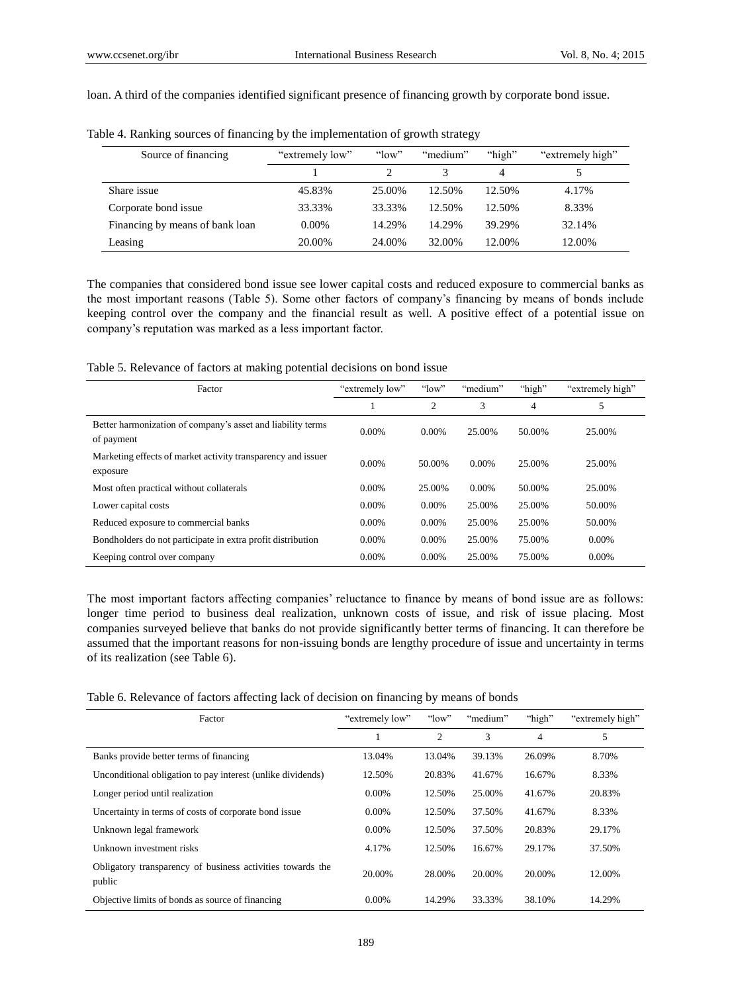loan. A third of the companies identified significant presence of financing growth by corporate bond issue.

| Source of financing             | "extremely low" | " $low"$ | "medium" | "high" | "extremely high" |
|---------------------------------|-----------------|----------|----------|--------|------------------|
|                                 |                 |          |          | 4      |                  |
| Share issue                     | 45.83%          | 25.00%   | 12.50%   | 12.50% | 4.17%            |
| Corporate bond issue            | 33.33%          | 33.33%   | 12.50%   | 12.50% | 8.33%            |
| Financing by means of bank loan | $0.00\%$        | 14.29%   | 14.29%   | 39.29% | 32.14%           |
| Leasing                         | 20.00%          | 24.00%   | 32.00%   | 12.00% | 12.00%           |

Table 4. Ranking sources of financing by the implementation of growth strategy

The companies that considered bond issue see lower capital costs and reduced exposure to commercial banks as the most important reasons (Table 5). Some other factors of company's financing by means of bonds include keeping control over the company and the financial result as well. A positive effect of a potential issue on company's reputation was marked as a less important factor.

Table 5. Relevance of factors at making potential decisions on bond issue

| Factor                                                                    | "extremely low" | " $low"$       | "medium" | "high" | "extremely high" |
|---------------------------------------------------------------------------|-----------------|----------------|----------|--------|------------------|
|                                                                           |                 | $\overline{2}$ | 3        | 4      |                  |
| Better harmonization of company's asset and liability terms<br>of payment | 0.00%           | $0.00\%$       | 25.00%   | 50.00% | 25.00%           |
| Marketing effects of market activity transparency and issuer<br>exposure  | $0.00\%$        | 50.00%         | $0.00\%$ | 25.00% | 25.00%           |
| Most often practical without collaterals                                  | $0.00\%$        | 25.00%         | $0.00\%$ | 50.00% | 25.00%           |
| Lower capital costs                                                       | $0.00\%$        | $0.00\%$       | 25.00%   | 25.00% | 50.00%           |
| Reduced exposure to commercial banks                                      | $0.00\%$        | $0.00\%$       | 25.00%   | 25.00% | 50.00%           |
| Bondholders do not participate in extra profit distribution               | $0.00\%$        | $0.00\%$       | 25.00%   | 75.00% | $0.00\%$         |
| Keeping control over company                                              | $0.00\%$        | $0.00\%$       | 25.00%   | 75.00% | $0.00\%$         |

The most important factors affecting companies' reluctance to finance by means of bond issue are as follows: longer time period to business deal realization, unknown costs of issue, and risk of issue placing. Most companies surveyed believe that banks do not provide significantly better terms of financing. It can therefore be assumed that the important reasons for non-issuing bonds are lengthy procedure of issue and uncertainty in terms of its realization (see Table 6).

Table 6. Relevance of factors affecting lack of decision on financing by means of bonds

| Factor                                                               | "extremely low" | " $low"$       | "medium" | "high"         | "extremely high" |
|----------------------------------------------------------------------|-----------------|----------------|----------|----------------|------------------|
|                                                                      |                 | $\overline{c}$ | 3        | $\overline{4}$ | 5                |
| Banks provide better terms of financing                              | 13.04%          | 13.04%         | 39.13%   | 26.09%         | 8.70%            |
| Unconditional obligation to pay interest (unlike dividends)          | 12.50%          | 20.83%         | 41.67%   | 16.67%         | 8.33%            |
| Longer period until realization                                      | 0.00%           | 12.50%         | 25.00%   | 41.67%         | 20.83%           |
| Uncertainty in terms of costs of corporate bond issue                | 0.00%           | 12.50%         | 37.50%   | 41.67%         | 8.33%            |
| Unknown legal framework                                              | 0.00%           | 12.50%         | 37.50%   | 20.83%         | 29.17%           |
| Unknown investment risks                                             | 4.17%           | 12.50%         | 16.67%   | 29.17%         | 37.50%           |
| Obligatory transparency of business activities towards the<br>public | 20.00%          | 28.00%         | 20.00%   | 20.00%         | 12.00%           |
| Objective limits of bonds as source of financing                     | $0.00\%$        | 14.29%         | 33.33%   | 38.10%         | 14.29%           |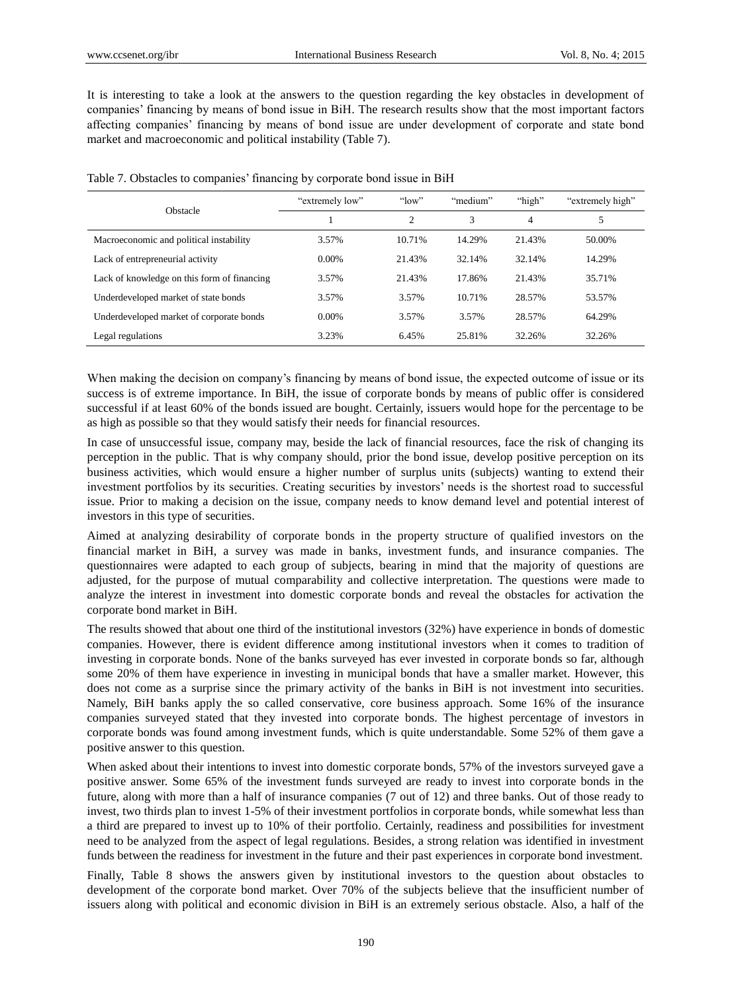It is interesting to take a look at the answers to the question regarding the key obstacles in development of companies' financing by means of bond issue in BiH. The research results show that the most important factors affecting companies' financing by means of bond issue are under development of corporate and state bond market and macroeconomic and political instability (Table 7).

| Obstacle                                    | "extremely low" | " $low"$ | "medium" | "high" | "extremely high" |
|---------------------------------------------|-----------------|----------|----------|--------|------------------|
|                                             |                 | 2        | 3        | 4      | 5                |
| Macroeconomic and political instability     | 3.57%           | 10.71%   | 14.29%   | 21.43% | 50.00%           |
| Lack of entrepreneurial activity            | $0.00\%$        | 21.43%   | 32.14%   | 32.14% | 14.29%           |
| Lack of knowledge on this form of financing | 3.57%           | 21.43%   | 17.86%   | 21.43% | 35.71%           |
| Underdeveloped market of state bonds        | 3.57%           | 3.57%    | 10.71%   | 28.57% | 53.57%           |
| Underdeveloped market of corporate bonds    | 0.00%           | 3.57%    | 3.57%    | 28.57% | 64.29%           |
| Legal regulations                           | 3.23%           | 6.45%    | 25.81%   | 32.26% | 32.26%           |

Table 7. Obstacles to companies' financing by corporate bond issue in BiH

When making the decision on company's financing by means of bond issue, the expected outcome of issue or its success is of extreme importance. In BiH, the issue of corporate bonds by means of public offer is considered successful if at least 60% of the bonds issued are bought. Certainly, issuers would hope for the percentage to be as high as possible so that they would satisfy their needs for financial resources.

In case of unsuccessful issue, company may, beside the lack of financial resources, face the risk of changing its perception in the public. That is why company should, prior the bond issue, develop positive perception on its business activities, which would ensure a higher number of surplus units (subjects) wanting to extend their investment portfolios by its securities. Creating securities by investors' needs is the shortest road to successful issue. Prior to making a decision on the issue, company needs to know demand level and potential interest of investors in this type of securities.

Aimed at analyzing desirability of corporate bonds in the property structure of qualified investors on the financial market in BiH, a survey was made in banks, investment funds, and insurance companies. The questionnaires were adapted to each group of subjects, bearing in mind that the majority of questions are adjusted, for the purpose of mutual comparability and collective interpretation. The questions were made to analyze the interest in investment into domestic corporate bonds and reveal the obstacles for activation the corporate bond market in BiH.

The results showed that about one third of the institutional investors (32%) have experience in bonds of domestic companies. However, there is evident difference among institutional investors when it comes to tradition of investing in corporate bonds. None of the banks surveyed has ever invested in corporate bonds so far, although some 20% of them have experience in investing in municipal bonds that have a smaller market. However, this does not come as a surprise since the primary activity of the banks in BiH is not investment into securities. Namely, BiH banks apply the so called conservative, core business approach. Some 16% of the insurance companies surveyed stated that they invested into corporate bonds. The highest percentage of investors in corporate bonds was found among investment funds, which is quite understandable. Some 52% of them gave a positive answer to this question.

When asked about their intentions to invest into domestic corporate bonds, 57% of the investors surveyed gave a positive answer. Some 65% of the investment funds surveyed are ready to invest into corporate bonds in the future, along with more than a half of insurance companies (7 out of 12) and three banks. Out of those ready to invest, two thirds plan to invest 1-5% of their investment portfolios in corporate bonds, while somewhat less than a third are prepared to invest up to 10% of their portfolio. Certainly, readiness and possibilities for investment need to be analyzed from the aspect of legal regulations. Besides, a strong relation was identified in investment funds between the readiness for investment in the future and their past experiences in corporate bond investment.

Finally, Table 8 shows the answers given by institutional investors to the question about obstacles to development of the corporate bond market. Over 70% of the subjects believe that the insufficient number of issuers along with political and economic division in BiH is an extremely serious obstacle. Also, a half of the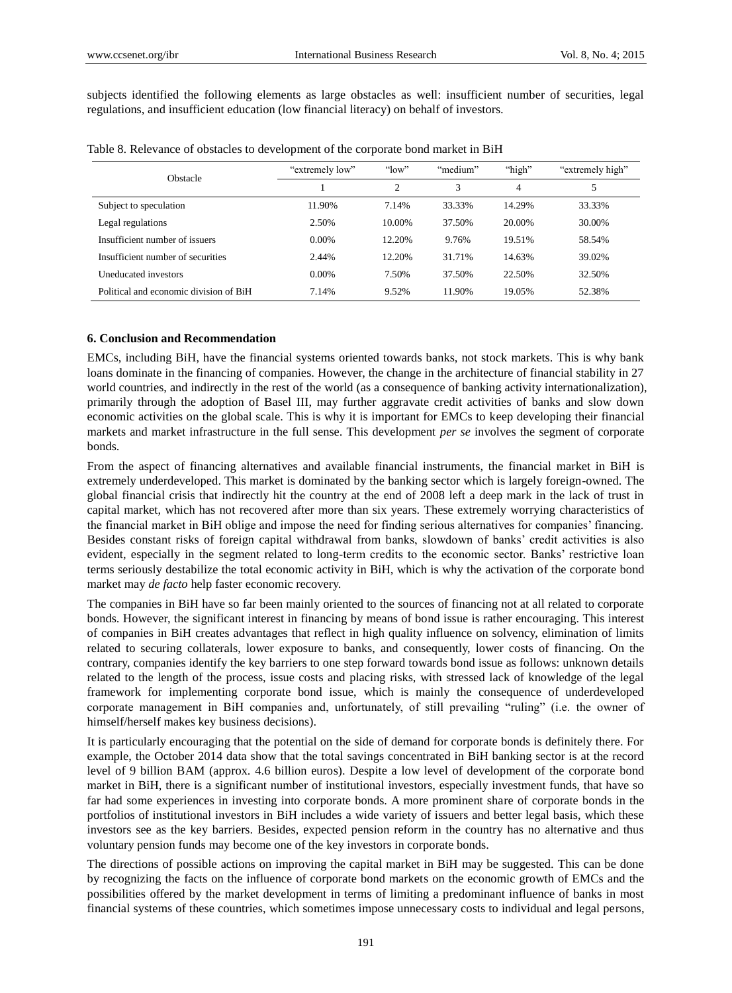subjects identified the following elements as large obstacles as well: insufficient number of securities, legal regulations, and insufficient education (low financial literacy) on behalf of investors.

| <b>Obstacle</b>                        | "extremely low" | " $\omega$ " | "medium" | "high"         | "extremely high" |
|----------------------------------------|-----------------|--------------|----------|----------------|------------------|
|                                        |                 | 2            | 3        | $\overline{4}$ |                  |
| Subject to speculation                 | 11.90%          | 7.14%        | 33.33%   | 14.29%         | 33.33%           |
| Legal regulations                      | 2.50%           | 10.00%       | 37.50%   | 20.00%         | 30.00%           |
| Insufficient number of issuers         | $0.00\%$        | 12.20%       | 9.76%    | 19.51%         | 58.54%           |
| Insufficient number of securities      | 2.44%           | 12.20%       | 31.71%   | 14.63%         | 39.02%           |
| Uneducated investors                   | $0.00\%$        | 7.50%        | 37.50%   | 22.50%         | 32.50%           |
| Political and economic division of BiH | 7.14%           | 9.52%        | 11.90%   | 19.05%         | 52.38%           |

## **6. Conclusion and Recommendation**

EMCs, including BiH, have the financial systems oriented towards banks, not stock markets. This is why bank loans dominate in the financing of companies. However, the change in the architecture of financial stability in 27 world countries, and indirectly in the rest of the world (as a consequence of banking activity internationalization), primarily through the adoption of Basel III, may further aggravate credit activities of banks and slow down economic activities on the global scale. This is why it is important for EMCs to keep developing their financial markets and market infrastructure in the full sense. This development *per se* involves the segment of corporate bonds.

From the aspect of financing alternatives and available financial instruments, the financial market in BiH is extremely underdeveloped. This market is dominated by the banking sector which is largely foreign-owned. The global financial crisis that indirectly hit the country at the end of 2008 left a deep mark in the lack of trust in capital market, which has not recovered after more than six years. These extremely worrying characteristics of the financial market in BiH oblige and impose the need for finding serious alternatives for companies' financing. Besides constant risks of foreign capital withdrawal from banks, slowdown of banks' credit activities is also evident, especially in the segment related to long-term credits to the economic sector. Banks' restrictive loan terms seriously destabilize the total economic activity in BiH, which is why the activation of the corporate bond market may *de facto* help faster economic recovery.

The companies in BiH have so far been mainly oriented to the sources of financing not at all related to corporate bonds. However, the significant interest in financing by means of bond issue is rather encouraging. This interest of companies in BiH creates advantages that reflect in high quality influence on solvency, elimination of limits related to securing collaterals, lower exposure to banks, and consequently, lower costs of financing. On the contrary, companies identify the key barriers to one step forward towards bond issue as follows: unknown details related to the length of the process, issue costs and placing risks, with stressed lack of knowledge of the legal framework for implementing corporate bond issue, which is mainly the consequence of underdeveloped corporate management in BiH companies and, unfortunately, of still prevailing "ruling" (i.e. the owner of himself/herself makes key business decisions).

It is particularly encouraging that the potential on the side of demand for corporate bonds is definitely there. For example, the October 2014 data show that the total savings concentrated in BiH banking sector is at the record level of 9 billion BAM (approx. 4.6 billion euros). Despite a low level of development of the corporate bond market in BiH, there is a significant number of institutional investors, especially investment funds, that have so far had some experiences in investing into corporate bonds. A more prominent share of corporate bonds in the portfolios of institutional investors in BiH includes a wide variety of issuers and better legal basis, which these investors see as the key barriers. Besides, expected pension reform in the country has no alternative and thus voluntary pension funds may become one of the key investors in corporate bonds.

The directions of possible actions on improving the capital market in BiH may be suggested. This can be done by recognizing the facts on the influence of corporate bond markets on the economic growth of EMCs and the possibilities offered by the market development in terms of limiting a predominant influence of banks in most financial systems of these countries, which sometimes impose unnecessary costs to individual and legal persons,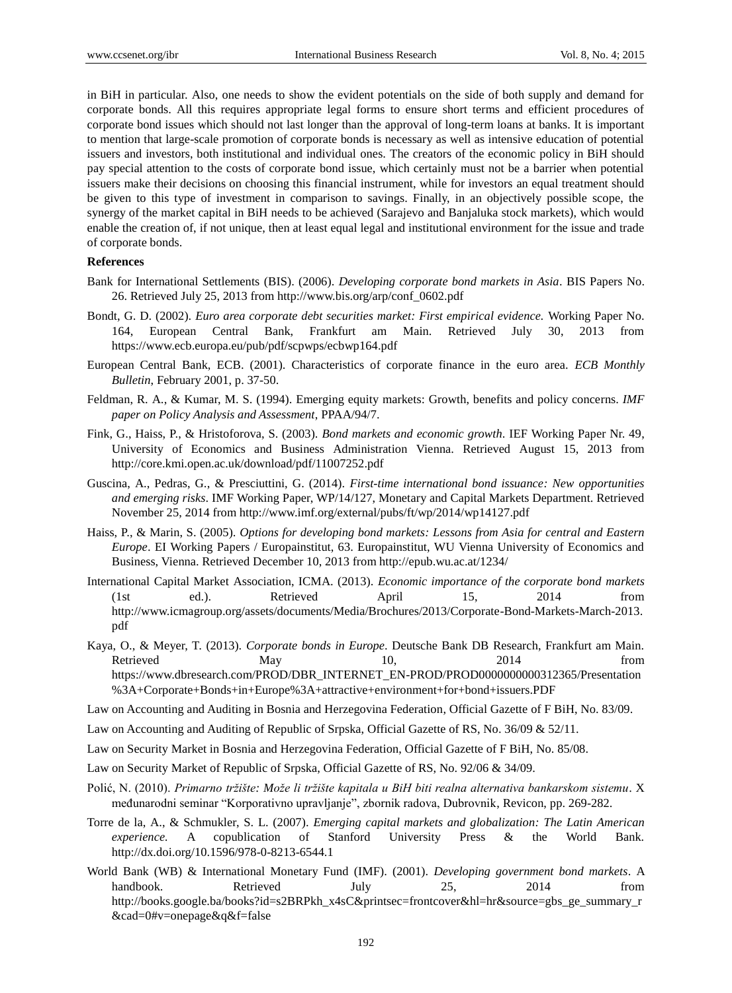in BiH in particular. Also, one needs to show the evident potentials on the side of both supply and demand for corporate bonds. All this requires appropriate legal forms to ensure short terms and efficient procedures of corporate bond issues which should not last longer than the approval of long-term loans at banks. It is important to mention that large-scale promotion of corporate bonds is necessary as well as intensive education of potential issuers and investors, both institutional and individual ones. The creators of the economic policy in BiH should pay special attention to the costs of corporate bond issue, which certainly must not be a barrier when potential issuers make their decisions on choosing this financial instrument, while for investors an equal treatment should be given to this type of investment in comparison to savings. Finally, in an objectively possible scope, the synergy of the market capital in BiH needs to be achieved (Sarajevo and Banjaluka stock markets), which would enable the creation of, if not unique, then at least equal legal and institutional environment for the issue and trade of corporate bonds.

## **References**

- Bank for International Settlements (BIS). (2006). *Developing corporate bond markets in Asia*. BIS Papers No. 26. Retrieved July 25, 2013 from http://www.bis.org/arp/conf\_0602.pdf
- Bondt, G. D. (2002). *Euro area corporate debt securities market: First empirical evidence.* Working Paper No. 164, European Central Bank, Frankfurt am Main. Retrieved July 30, 2013 from https://www.ecb.europa.eu/pub/pdf/scpwps/ecbwp164.pdf
- European Central Bank, ECB. (2001). Characteristics of corporate finance in the euro area. *ECB Monthly Bulletin*, February 2001, p. 37-50.
- Feldman, R. A., & Kumar, M. S. (1994). Emerging equity markets: Growth, benefits and policy concerns. *IMF paper on Policy Analysis and Assessment*, PPAA/94/7.
- Fink, G., Haiss, P., & Hristoforova, S. (2003). *Bond markets and economic growth*. IEF Working Paper Nr. 49, University of Economics and Business Administration Vienna. Retrieved August 15, 2013 from http://core.kmi.open.ac.uk/download/pdf/11007252.pdf
- Guscina, A., Pedras, G., & Presciuttini, G. (2014). *First-time international bond issuance: New opportunities and emerging risks*. IMF Working Paper, WP/14/127, Monetary and Capital Markets Department. Retrieved November 25, 2014 from http://www.imf.org/external/pubs/ft/wp/2014/wp14127.pdf
- Haiss, P., & Marin, S. (2005). *Options for developing bond markets: Lessons from Asia for central and Eastern Europe*. EI Working Papers / Europainstitut, 63. Europainstitut, WU Vienna University of Economics and Business, Vienna. Retrieved December 10, 2013 from http://epub.wu.ac.at/1234/
- International Capital Market Association, ICMA. (2013). *Economic importance of the corporate bond markets* (1st ed.). Retrieved April 15, 2014 from http://www.icmagroup.org/assets/documents/Media/Brochures/2013/Corporate-Bond-Markets-March-2013. pdf
- Kaya, O., & Meyer, T. (2013). *Corporate bonds in Europe*. Deutsche Bank DB Research, Frankfurt am Main. Retrieved May 10, 2014 from https://www.dbresearch.com/PROD/DBR\_INTERNET\_EN-PROD/PROD0000000000312365/Presentation %3A+Corporate+Bonds+in+Europe%3A+attractive+environment+for+bond+issuers.PDF
- Law on Accounting and Auditing in Bosnia and Herzegovina Federation, Official Gazette of F BiH, No. 83/09.
- Law on Accounting and Auditing of Republic of Srpska, Official Gazette of RS, No. 36/09 & 52/11.
- Law on Security Market in Bosnia and Herzegovina Federation, Official Gazette of F BiH, No. 85/08.
- Law on Security Market of Republic of Srpska, Official Gazette of RS, No. 92/06 & 34/09.
- Polić, N. (2010). *Primarno tržište: Može li tržište kapitala u BiH biti realna alternativa bankarskom sistemu*. X međunarodni seminar "Korporativno upravljanje", zbornik radova, Dubrovnik, Revicon, pp. 269-282.
- Torre de la, A., & Schmukler, S. L. (2007). *Emerging capital markets and globalization: The Latin American experience.* A copublication of Stanford University Press & the World Bank. http://dx.doi.org/10.1596/978-0-8213-6544.1
- World Bank (WB) & International Monetary Fund (IMF). (2001). *Developing government bond markets*. A handbook. Retrieved July 25, 2014 from http://books.google.ba/books?id=s2BRPkh\_x4sC&printsec=frontcover&hl=hr&source=gbs\_ge\_summary\_r &cad=0#v=onepage&q&f=false